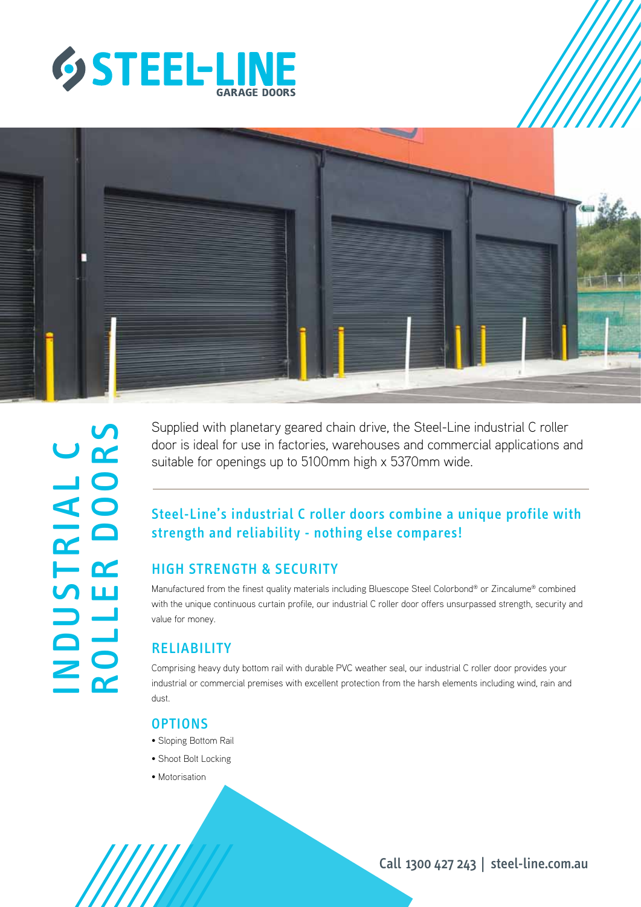



Supplied with planetary geared chain drive, the Steel-Line industrial C roller door is ideal for use in factories, warehouses and commercial applications and suitable for openings up to 5100mm high x 5370mm wide.

## Steel-Line's industrial C roller doors combine a unique profile with strength and reliability - nothing else compares!

#### HIGH STRENGTH & SECURITY

Manufactured from the finest quality materials including Bluescope Steel Colorbond® or Zincalume® combined with the unique continuous curtain profile, our industrial C roller door offers unsurpassed strength, security and value for money.

## **RELIABILITY**

Comprising heavy duty bottom rail with durable PVC weather seal, our industrial C roller door provides your industrial or commercial premises with excellent protection from the harsh elements including wind, rain and dust.

#### **OPTIONS**

- Sloping Bottom Rail
- Shoot Bolt Locking
- Motorisation

Call 1300 427 243 | steel-line.com.au